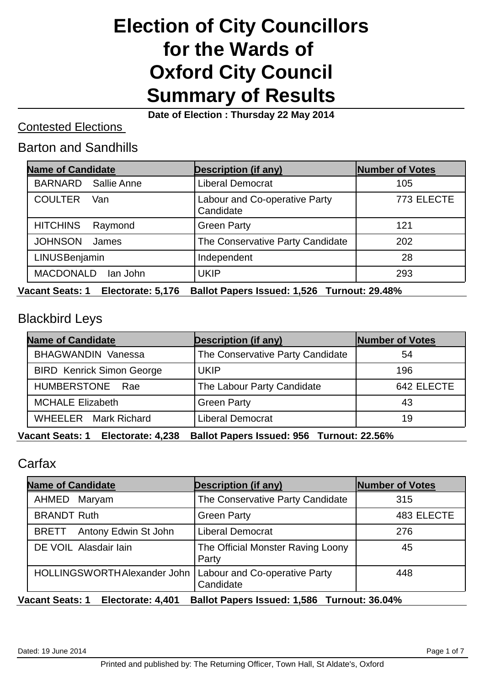# **Election of City Councillors for the Wards of Oxford City Council Summary of Results**

**Date of Election : Thursday 22 May 2014**

#### Contested Elections

#### Barton and Sandhills

| <b>Name of Candidate</b>      | <b>Description (if any)</b>                       | Number of Votes |
|-------------------------------|---------------------------------------------------|-----------------|
| Sallie Anne<br><b>BARNARD</b> | <b>Liberal Democrat</b>                           | 105             |
| <b>COULTER</b><br>Van         | <b>Labour and Co-operative Party</b><br>Candidate | 773 ELECTE      |
| <b>HITCHINS</b><br>Raymond    | <b>Green Party</b>                                | 121             |
| <b>JOHNSON</b><br>James       | The Conservative Party Candidate                  | 202             |
| LINUSBenjamin                 | Independent                                       | 28              |
| <b>MACDONALD</b><br>lan John  | UKIP                                              | 293             |

**Vacant Seats: 1 Electorate: 5,176 Ballot Papers Issued: 1,526 Turnout: 29.48%**

#### Blackbird Leys

| <b>Description (if any)</b>      | Number of Votes |
|----------------------------------|-----------------|
| The Conservative Party Candidate | 54              |
| <b>UKIP</b>                      | 196             |
| The Labour Party Candidate       | 642 ELECTE      |
| <b>Green Party</b>               | 43              |
| <b>Liberal Democrat</b>          | 19              |
|                                  |                 |

**Vacant Seats: 1 Electorate: 4,238 Ballot Papers Issued: 956 Turnout: 22.56%**

## Carfax

| <b>Description (if any)</b>                                               | <b>Number of Votes</b> |
|---------------------------------------------------------------------------|------------------------|
| The Conservative Party Candidate                                          | 315                    |
| <b>Green Party</b>                                                        | 483 ELECTE             |
| <b>Liberal Democrat</b>                                                   | 276                    |
| The Official Monster Raving Loony<br>Party                                | 45                     |
| HOLLINGSWORTH Alexander John   Labour and Co-operative Party<br>Candidate | 448                    |
|                                                                           |                        |

**Vacant Seats: 1 Electorate: 4,401 Ballot Papers Issued: 1,586 Turnout: 36.04%**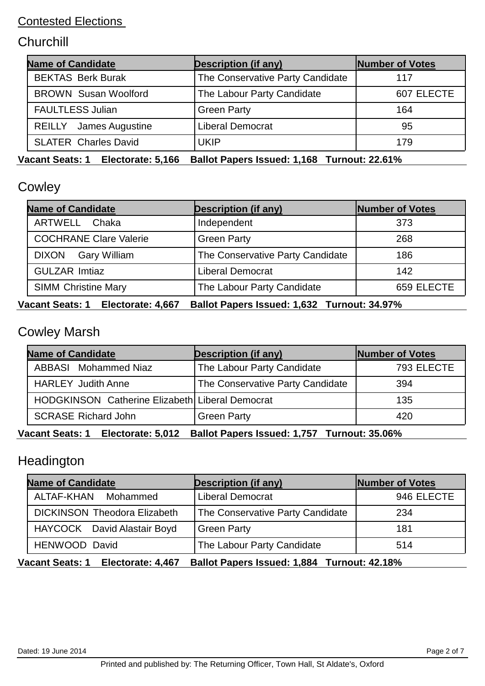# **Churchill**

| <b>Name of Candidate</b>      | <b>Description (if any)</b>      | Number of Votes |
|-------------------------------|----------------------------------|-----------------|
| <b>BEKTAS Berk Burak</b>      | The Conservative Party Candidate | 117             |
| <b>BROWN Susan Woolford</b>   | The Labour Party Candidate       | 607 ELECTE      |
| <b>FAULTLESS Julian</b>       | <b>Green Party</b>               | 164             |
| <b>REILLY</b> James Augustine | <b>Liberal Democrat</b>          | 95              |
| <b>SLATER Charles David</b>   | <b>UKIP</b>                      | 179             |

**Vacant Seats: 1 Electorate: 5,166 Ballot Papers Issued: 1,168 Turnout: 22.61%**

# **Cowley**

| <b>Name of Candidate</b>      | <b>Description (if any)</b>      | Number of Votes |
|-------------------------------|----------------------------------|-----------------|
| ARTWELL Chaka                 | Independent                      | 373             |
| <b>COCHRANE Clare Valerie</b> | <b>Green Party</b>               | 268             |
| <b>DIXON</b><br>Gary William  | The Conservative Party Candidate | 186             |
| <b>GULZAR Imtiaz</b>          | <b>Liberal Democrat</b>          | 142             |
| <b>SIMM Christine Mary</b>    | The Labour Party Candidate       | 659 ELECTE      |

#### **Vacant Seats: 1 Electorate: 4,667 Ballot Papers Issued: 1,632 Turnout: 34.97%**

# Cowley Marsh

| <b>Name of Candidate</b>                        | <b>Description (if any)</b>      | Number of Votes |
|-------------------------------------------------|----------------------------------|-----------------|
| <b>ABBASI</b> Mohammed Niaz                     | The Labour Party Candidate       | 793 ELECTE      |
| <b>HARLEY Judith Anne</b>                       | The Conservative Party Candidate | 394             |
| HODGKINSON Catherine Elizabeth Liberal Democrat |                                  | 135             |
| <b>SCRASE Richard John</b>                      | <b>Green Party</b>               | 420             |

#### **Vacant Seats: 1 Electorate: 5,012 Ballot Papers Issued: 1,757 Turnout: 35.06%**

## **Headington**

| <b>Name of Candidate</b>            | <b>Description (if any)</b>      | Number of Votes |
|-------------------------------------|----------------------------------|-----------------|
| ALTAF-KHAN Mohammed                 | <b>Liberal Democrat</b>          | 946 ELECTE      |
| <b>DICKINSON Theodora Elizabeth</b> | The Conservative Party Candidate | 234             |
| HAYCOCK David Alastair Boyd         | <b>Green Party</b>               | 181             |
| HENWOOD David                       | The Labour Party Candidate       | 514             |

**Vacant Seats: 1 Electorate: 4,467 Ballot Papers Issued: 1,884 Turnout: 42.18%**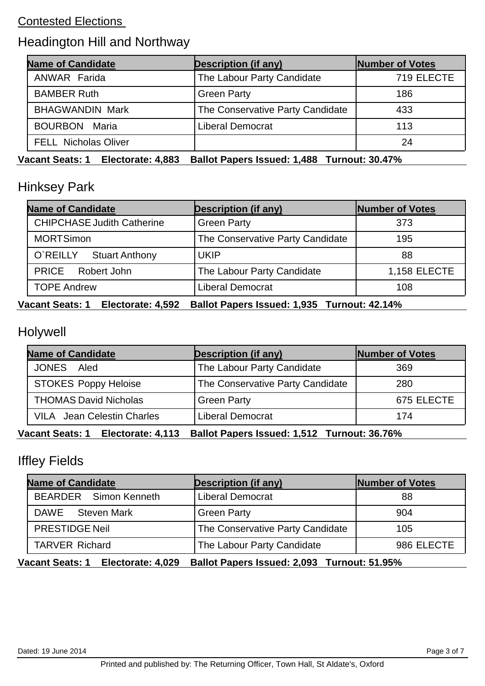# Headington Hill and Northway

| <b>Name of Candidate</b>    | <b>Description (if any)</b>      | Number of Votes |
|-----------------------------|----------------------------------|-----------------|
| <b>ANWAR Farida</b>         | The Labour Party Candidate       | 719 ELECTE      |
| <b>BAMBER Ruth</b>          | <b>Green Party</b>               | 186             |
| <b>BHAGWANDIN Mark</b>      | The Conservative Party Candidate | 433             |
| <b>BOURBON Maria</b>        | <b>Liberal Democrat</b>          | 113             |
| <b>FELL Nicholas Oliver</b> |                                  | 24              |

**Vacant Seats: 1 Electorate: 4,883 Ballot Papers Issued: 1,488 Turnout: 30.47%**

# Hinksey Park

| <b>Name of Candidate</b>          | <b>Description (if any)</b>      | Number of Votes     |
|-----------------------------------|----------------------------------|---------------------|
| <b>CHIPCHASE Judith Catherine</b> | <b>Green Party</b>               | 373                 |
| <b>MORTSimon</b>                  | The Conservative Party Candidate | 195                 |
| O`REILLY<br><b>Stuart Anthony</b> | UKIP                             | 88                  |
| PRICE Robert John                 | The Labour Party Candidate       | <b>1,158 ELECTE</b> |
| <b>TOPE Andrew</b>                | <b>Liberal Democrat</b>          | 108                 |

#### **Vacant Seats: 1 Electorate: 4,592 Ballot Papers Issued: 1,935 Turnout: 42.14%**

## Holywell

| <b>Name of Candidate</b>          | <b>Description (if any)</b>      | Number of Votes |
|-----------------------------------|----------------------------------|-----------------|
| <b>JONES</b><br>Aled              | The Labour Party Candidate       | 369             |
| <b>STOKES Poppy Heloise</b>       | The Conservative Party Candidate | 280             |
| <b>THOMAS David Nicholas</b>      | <b>Green Party</b>               | 675 ELECTE      |
| <b>VILA</b> Jean Celestin Charles | Liberal Democrat                 | 174             |

#### **Vacant Seats: 1 Electorate: 4,113 Ballot Papers Issued: 1,512 Turnout: 36.76%**

# Iffley Fields

| <b>Name of Candidate</b> | <b>Description (if any)</b>      | Number of Votes |
|--------------------------|----------------------------------|-----------------|
| BEARDER Simon Kenneth    | <b>Liberal Democrat</b>          | 88              |
| DAWE<br>Steven Mark      | <b>Green Party</b>               | 904             |
| <b>PRESTIDGE Neil</b>    | The Conservative Party Candidate | 105             |
| <b>TARVER Richard</b>    | The Labour Party Candidate       | 986 ELECTE      |

**Vacant Seats: 1 Electorate: 4,029 Ballot Papers Issued: 2,093 Turnout: 51.95%**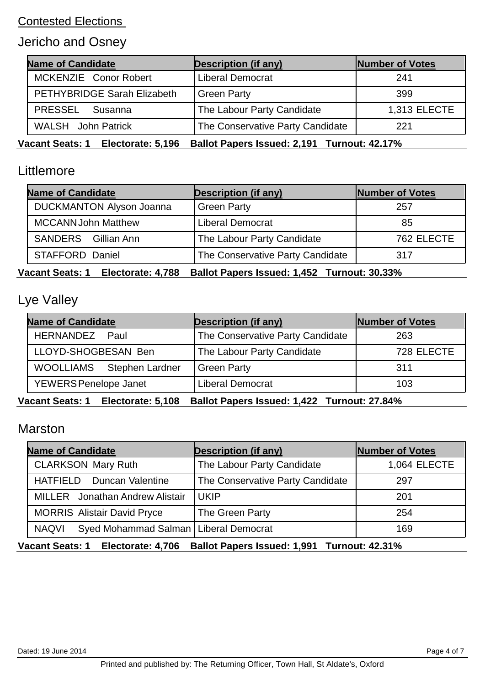# Jericho and Osney

| <b>Description (if any)</b>      | <b>Number of Votes</b> |
|----------------------------------|------------------------|
| <b>Liberal Democrat</b>          | 241                    |
| <b>Green Party</b>               | 399                    |
| The Labour Party Candidate       | 1,313 ELECTE           |
| The Conservative Party Candidate | 221                    |
|                                  |                        |

**Vacant Seats: 1 Electorate: 5,196 Ballot Papers Issued: 2,191 Turnout: 42.17%**

#### Littlemore

| <b>Name of Candidate</b>        | <b>Description (if any)</b>      | Number of Votes |
|---------------------------------|----------------------------------|-----------------|
| <b>DUCKMANTON Alyson Joanna</b> | <b>Green Party</b>               | 257             |
| <b>MCCANN John Matthew</b>      | <b>Liberal Democrat</b>          | 85              |
| SANDERS Gillian Ann             | The Labour Party Candidate       | 762 ELECTE      |
| STAFFORD Daniel                 | The Conservative Party Candidate | 317             |

**Vacant Seats: 1 Electorate: 4,788 Ballot Papers Issued: 1,452 Turnout: 30.33%**

#### Lye Valley

| <b>Description (if any)</b>      | Number of Votes |
|----------------------------------|-----------------|
| The Conservative Party Candidate | 263             |
| The Labour Party Candidate       | 728 ELECTE      |
| <b>Green Party</b>               | 311             |
| <b>Liberal Democrat</b>          | 103             |
|                                  |                 |

**Vacant Seats: 1 Electorate: 5,108 Ballot Papers Issued: 1,422 Turnout: 27.84%**

#### Marston

| <b>Name of Candidate</b>                                | <b>Description (if any)</b>      | Number of Votes |
|---------------------------------------------------------|----------------------------------|-----------------|
| <b>CLARKSON Mary Ruth</b>                               | The Labour Party Candidate       | 1,064 ELECTE    |
| HATFIELD Duncan Valentine                               | The Conservative Party Candidate | 297             |
| <b>MILLER</b> Jonathan Andrew Alistair                  | <b>UKIP</b>                      | 201             |
| <b>MORRIS Alistair David Pryce</b>                      | The Green Party                  | 254             |
| <b>NAQVI</b><br>Syed Mohammad Salman   Liberal Democrat |                                  | 169             |

**Vacant Seats: 1 Electorate: 4,706 Ballot Papers Issued: 1,991 Turnout: 42.31%**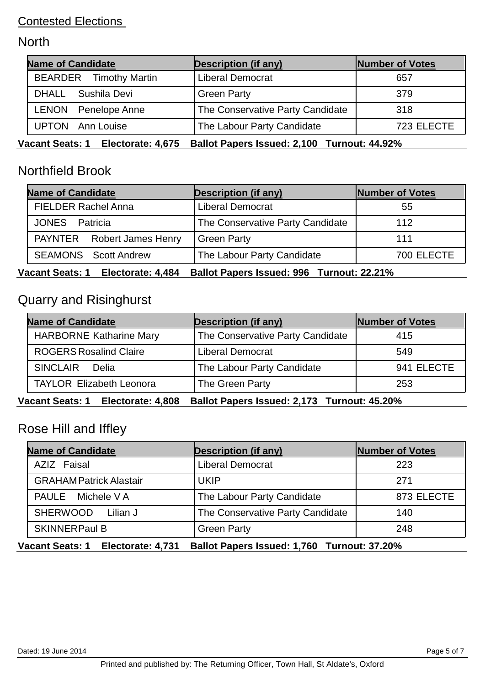## **North**

| <b>Name of Candidate</b>                    | <b>Description (if any)</b>                 | Number of Votes |
|---------------------------------------------|---------------------------------------------|-----------------|
| <b>BEARDER</b> Timothy Martin               | <b>Liberal Democrat</b>                     | 657             |
| DHALL<br>Sushila Devi                       | <b>Green Party</b>                          | 379             |
| LENON Penelope Anne                         | The Conservative Party Candidate            | 318             |
| <b>UPTON</b> Ann Louise                     | The Labour Party Candidate                  | 723 ELECTE      |
| <b>Vacant Seats: 1</b><br>Electorate: 4,675 | Ballot Papers Issued: 2,100 Turnout: 44.92% |                 |

# Northfield Brook

| <b>Name of Candidate</b>    | <b>Description (if any)</b>      | Number of Votes |
|-----------------------------|----------------------------------|-----------------|
| <b>FIELDER Rachel Anna</b>  | <b>Liberal Democrat</b>          | 55              |
| JONES Patricia              | The Conservative Party Candidate | 112             |
| PAYNTER Robert James Henry  | Green Party                      | 111             |
| <b>SEAMONS</b> Scott Andrew | The Labour Party Candidate       | 700 ELECTE      |

**Vacant Seats: 1 Electorate: 4,484 Ballot Papers Issued: 996 Turnout: 22.21%**

# Quarry and Risinghurst

| <b>Name of Candidate</b>        | <b>Description (if any)</b>      | Number of Votes |
|---------------------------------|----------------------------------|-----------------|
| <b>HARBORNE Katharine Mary</b>  | The Conservative Party Candidate | 415             |
| <b>ROGERS Rosalind Claire</b>   | <b>Liberal Democrat</b>          | 549             |
| <b>SINCLAIR</b><br>Delia        | The Labour Party Candidate       | 941 ELECTE      |
| <b>TAYLOR Elizabeth Leonora</b> | The Green Party                  | 253             |
|                                 |                                  |                 |

**Vacant Seats: 1 Electorate: 4,808 Ballot Papers Issued: 2,173 Turnout: 45.20%**

## Rose Hill and Iffley

| <b>Name of Candidate</b>       | <b>Description (if any)</b>      | Number of Votes |
|--------------------------------|----------------------------------|-----------------|
| AZIZ Faisal                    | <b>Liberal Democrat</b>          | 223             |
| <b>GRAHAM Patrick Alastair</b> | <b>UKIP</b>                      | 271             |
| PAULE Michele VA               | The Labour Party Candidate       | 873 ELECTE      |
| <b>SHERWOOD</b><br>Lilian J    | The Conservative Party Candidate | 140             |
| <b>SKINNERPaul B</b>           | <b>Green Party</b>               | 248             |

**Vacant Seats: 1 Electorate: 4,731 Ballot Papers Issued: 1,760 Turnout: 37.20%**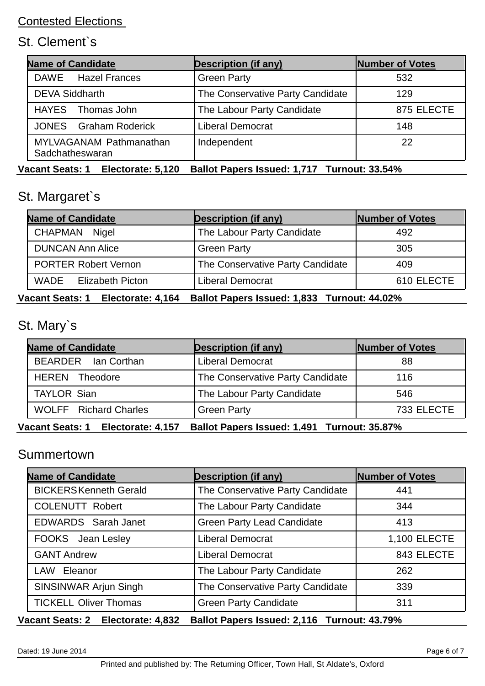# St. Clement`s

| <b>Name of Candidate</b>                          | <b>Description (if any)</b>      | Number of Votes |
|---------------------------------------------------|----------------------------------|-----------------|
| DAWE Hazel Frances                                | <b>Green Party</b>               | 532             |
| <b>DEVA Siddharth</b>                             | The Conservative Party Candidate | 129             |
| HAYES Thomas John                                 | The Labour Party Candidate       | 875 ELECTE      |
| <b>JONES</b> Graham Roderick                      | <b>Liberal Democrat</b>          | 148             |
| <b>MYLVAGANAM Pathmanathan</b><br>Sadchatheswaran | Independent                      | 22              |

**Vacant Seats: 1 Electorate: 5,120 Ballot Papers Issued: 1,717 Turnout: 33.54%**

# St. Margaret`s

| <b>Name of Candidate</b>     | <b>Description (if any)</b>      | Number of Votes |
|------------------------------|----------------------------------|-----------------|
| CHAPMAN Nigel                | The Labour Party Candidate       | 492             |
| <b>DUNCAN Ann Alice</b>      | <b>Green Party</b>               | 305             |
| <b>PORTER Robert Vernon</b>  | The Conservative Party Candidate | 409             |
| <b>WADE</b> Elizabeth Picton | <b>Liberal Democrat</b>          | 610 ELECTE      |

#### **Vacant Seats: 1 Electorate: 4,164 Ballot Papers Issued: 1,833 Turnout: 44.02%**

# St. Mary`s

| <b>Name of Candidate</b>     | <b>Description (if any)</b>      | Number of Votes |
|------------------------------|----------------------------------|-----------------|
| BEARDER Ian Corthan          | <b>Liberal Democrat</b>          | 88              |
| <b>HEREN</b> Theodore        | The Conservative Party Candidate | 116             |
| <b>TAYLOR Sian</b>           | The Labour Party Candidate       | 546             |
| <b>WOLFF</b> Richard Charles | <b>Green Party</b>               | 733 ELECTE      |

**Vacant Seats: 1 Electorate: 4,157 Ballot Papers Issued: 1,491 Turnout: 35.87%**

#### **Summertown**

| <b>Name of Candidate</b>     | <b>Description (if any)</b>       | <b>Number of Votes</b> |
|------------------------------|-----------------------------------|------------------------|
| <b>BICKERSKenneth Gerald</b> | The Conservative Party Candidate  | 441                    |
| <b>COLENUTT Robert</b>       | The Labour Party Candidate        | 344                    |
| EDWARDS Sarah Janet          | <b>Green Party Lead Candidate</b> | 413                    |
| FOOKS Jean Lesley            | <b>Liberal Democrat</b>           | 1,100 ELECTE           |
| <b>GANT Andrew</b>           | <b>Liberal Democrat</b>           | 843 ELECTE             |
| LAW Eleanor                  | The Labour Party Candidate        | 262                    |
| SINSINWAR Arjun Singh        | The Conservative Party Candidate  | 339                    |
| <b>TICKELL Oliver Thomas</b> | <b>Green Party Candidate</b>      | 311                    |

#### **Vacant Seats: 2 Electorate: 4,832 Ballot Papers Issued: 2,116 Turnout: 43.79%**